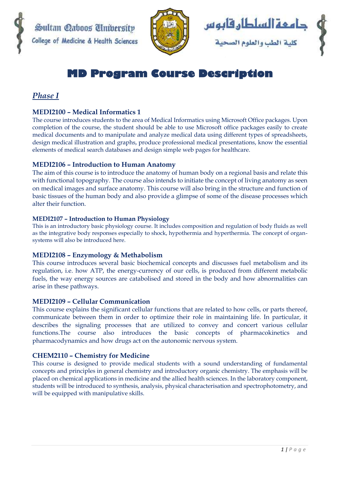



# **MD Program Course Description**

# *Phase I*

## **MEDI2100 – Medical Informatics 1**

The course introduces students to the area of Medical Informatics using Microsoft Office packages. Upon completion of the course, the student should be able to use Microsoft office packages easily to create medical documents and to manipulate and analyze medical data using different types of spreadsheets, design medical illustration and graphs, produce professional medical presentations, know the essential elements of medical search databases and design simple web pages for healthcare.

## **MEDI2106 – Introduction to Human Anatomy**

The aim of this course is to introduce the anatomy of human body on a regional basis and relate this with functional topography. The course also intends to initiate the concept of living anatomy as seen on medical images and surface anatomy. This course will also bring in the structure and function of basic tissues of the human body and also provide a glimpse of some of the disease processes which alter their function.

#### **MEDI2107 – Introduction to Human Physiology**

This is an introductory basic physiology course. It includes composition and regulation of body fluids as well as the integrative body responses especially to shock, hypothermia and hyperthermia. The concept of organsystems will also be introduced here.

#### **MEDI2108 – Enzymology & Methabolism**

This course introduces several basic biochemical concepts and discusses fuel metabolism and its regulation, i.e. how ATP, the energy-currency of our cells, is produced from different metabolic fuels, the way energy sources are catabolised and stored in the body and how abnormalities can arise in these pathways.

#### **MEDI2109 – Cellular Communication**

This course explains the significant cellular functions that are related to how cells, or parts thereof, communicate between them in order to optimize their role in maintaining life. In particular, it describes the signaling processes that are utilized to convey and concert various cellular functions.The course also introduces the basic concepts of pharmacokinetics and pharmacodynamics and how drugs act on the autonomic nervous system.

#### **CHEM2110 – Chemistry for Medicine**

This course is designed to provide medical students with a sound understanding of fundamental concepts and principles in general chemistry and introductory organic chemistry. The emphasis will be placed on chemical applications in medicine and the allied health sciences. In the laboratory component, students will be introduced to synthesis, analysis, physical characterisation and spectrophotometry, and will be equipped with manipulative skills.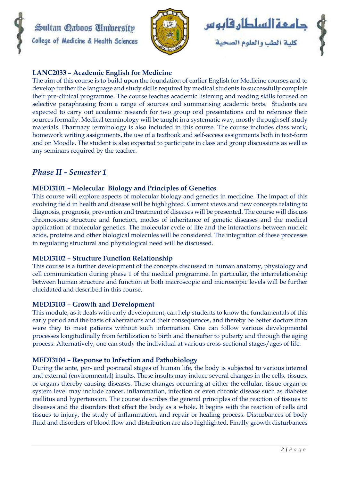





## **LANC2033 – Academic English for Medicine**

The aim of this course is to build upon the foundation of earlier English for Medicine courses and to develop further the language and study skills required by medical students to successfully complete their pre-clinical programme. The course teaches academic listening and reading skills focused on selective paraphrasing from a range of sources and summarising academic texts. Students are expected to carry out academic research for two group oral presentations and to reference their sources formally. Medical terminology will be taught in a systematic way, mostly through self-study materials. Pharmacy terminology is also included in this course. The course includes class work, homework writing assignments, the use of a textbook and self-access assignments both in text-form and on Moodle. The student is also expected to participate in class and group discussions as well as any seminars required by the teacher.

# *Phase II - Semester 1*

## **MEDI3101 – Molecular Biology and Principles of Genetics**

This course will explore aspects of molecular biology and genetics in medicine. The impact of this evolving field in health and disease will be highlighted. Current views and new concepts relating to diagnosis, prognosis, prevention and treatment of diseases will be presented. The course will discuss chromosome structure and function, modes of inheritance of genetic diseases and the medical application of molecular genetics. The molecular cycle of life and the interactions between nucleic acids, proteins and other biological molecules will be considered. The integration of these processes in regulating structural and physiological need will be discussed.

#### **MEDI3102 – Structure Function Relationship**

This course is a further development of the concepts discussed in human anatomy, physiology and cell communication during phase 1 of the medical programme. In particular, the interrelationship between human structure and function at both macroscopic and microscopic levels will be further elucidated and described in this course.

#### **MEDI3103 – Growth and Development**

This module, as it deals with early development, can help students to know the fundamentals of this early period and the basis of aberrations and their consequences, and thereby be better doctors than were they to meet patients without such information. One can follow various developmental processes longitudinally from fertilization to birth and thereafter to puberty and through the aging process. Alternatively, one can study the individual at various cross-sectional stages/ages of life.

#### **MEDI3104 – Response to Infection and Pathobiology**

During the ante, per- and postnatal stages of human life, the body is subjected to various internal and external (environmental) insults. These insults may induce several changes in the cells, tissues, or organs thereby causing diseases. These changes occurring at either the cellular, tissue organ or system level may include cancer, inflammation, infection or even chronic disease such as diabetes mellitus and hypertension. The course describes the general principles of the reaction of tissues to diseases and the disorders that affect the body as a whole. It begins with the reaction of cells and tissues to injury, the study of inflammation, and repair or healing process. Disturbances of body fluid and disorders of blood flow and distribution are also highlighted. Finally growth disturbances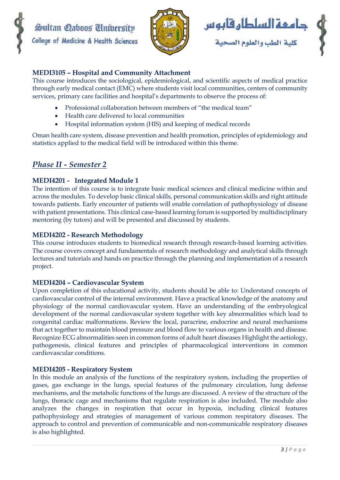





#### **MEDI3105 – Hospital and Community Attachment**

This course introduces the sociological, epidemiological, and scientific aspects of medical practice through early medical contact (EMC) where students visit local communities, centers of community services, primary care facilities and hospital's departments to observe the process of:

- Professional collaboration between members of "the medical team"
- Health care delivered to local communities
- Hospital information system (HIS) and keeping of medical records

Oman health care system, disease prevention and health promotion, principles of epidemiology and statistics applied to the medical field will be introduced within this theme.

# *Phase II - Semester 2*

## **MEDI4201 - Integrated Module 1**

The intention of this course is to integrate basic medical sciences and clinical medicine within and across the modules. To develop basic clinical skills, personal communication skills and right attitude towards patients. Early encounter of patients will enable correlation of pathophysiology of disease with patient presentations. This clinical case-based learning forum is supported by multidisciplinary mentoring (by tutors) and will be presented and discussed by students.

#### **MEDI4202 - Research Methodology**

This course introduces students to biomedical research through research-based learning activities. The course covers concept and fundamentals of research methodology and analytical skills through lectures and tutorials and hands on practice through the planning and implementation of a research project.

#### **MEDI4204 – Cardiovascular System**

Upon completion of this educational activity, students should be able to: Understand concepts of cardiovascular control of the internal environment. Have a practical knowledge of the anatomy and physiology of the normal cardiovascular system. Have an understanding of the embryological development of the normal cardiovascular system together with key abnormalities which lead to congenital cardiac malformations. Review the local, paracrine, endocrine and neural mechanisms that act together to maintain blood pressure and blood flow to various organs in health and disease. Recognize ECG abnormalities seen in common forms of adult heart diseases Highlight the aetiology, pathogenesis, clinical features and principles of pharmacological interventions in common cardiovascular conditions.

#### **MEDI4205 - Respiratory System**

In this module an analysis of the functions of the respiratory system, including the properties of gases, gas exchange in the lungs, special features of the pulmonary circulation, lung defense mechanisms, and the metabolic functions of the lungs are discussed. A review of the structure of the lungs, thoracic cage and mechanisms that regulate respiration is also included. The module also analyzes the changes in respiration that occur in hypoxia, including clinical features pathophysiology and strategies of management of various common respiratory diseases. The approach to control and prevention of communicable and non-communicable respiratory diseases is also highlighted.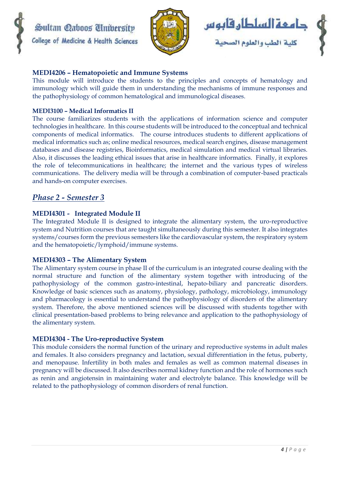





#### **MEDI4206 – Hematopoietic and Immune Systems**

This module will introduce the students to the principles and concepts of hematology and immunology which will guide them in understanding the mechanisms of immune responses and the pathophysiology of common hematological and immunological diseases.

#### **MEDI3100 – Medical Informatics II**

The course familiarizes students with the applications of information science and computer technologies in healthcare. In this course students will be introduced to the conceptual and technical components of medical informatics. The course introduces students to different applications of medical informatics such as; online medical resources, medical search engines, disease management databases and disease registries, Bioinformatics, medical simulation and medical virtual libraries. Also, it discusses the leading ethical issues that arise in healthcare informatics. Finally, it explores the role of telecommunications in healthcare; the internet and the various types of wireless communications. The delivery media will be through a combination of computer-based practicals and hands-on computer exercises.

# *Phase 2 - Semester 3*

#### **MEDI4301 - Integrated Module II**

The Integrated Module II is designed to integrate the alimentary system, the uro-reproductive system and Nutrition courses that are taught simultaneously during this semester. It also integrates systems/courses form the previous semesters like the cardiovascular system, the respiratory system and the hematopoietic/lymphoid/immune systems.

#### **MEDI4303 – The Alimentary System**

The Alimentary system course in phase II of the curriculum is an integrated course dealing with the normal structure and function of the alimentary system together with introducing of the pathophysiology of the common gastro-intestinal, hepato-biliary and pancreatic disorders. Knowledge of basic sciences such as anatomy, physiology, pathology, microbiology, immunology and pharmacology is essential to understand the pathophysiology of disorders of the alimentary system. Therefore, the above mentioned sciences will be discussed with students together with clinical presentation-based problems to bring relevance and application to the pathophysiology of the alimentary system.

#### **MEDI4304 - The Uro-reproductive System**

This module considers the normal function of the urinary and reproductive systems in adult males and females. It also considers pregnancy and lactation, sexual differentiation in the fetus, puberty, and menopause. Infertility in both males and females as well as common maternal diseases in pregnancy will be discussed. It also describes normal kidney function and the role of hormones such as renin and angiotensin in maintaining water and electrolyte balance. This knowledge will be related to the pathophysiology of common disorders of renal function.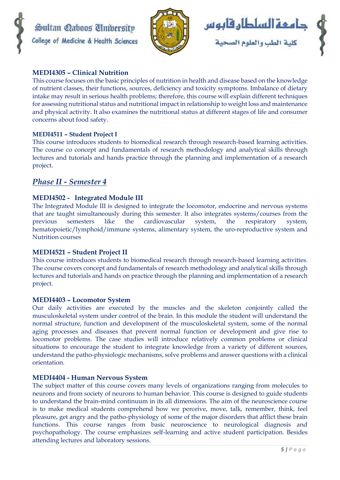





### **MEDI4305 – Clinical Nutrition**

This course focuses on the basic principles of nutrition in health and disease based on the knowledge of nutrient classes, their functions, sources, deficiency and toxicity symptoms. Imbalance of dietary intake may result in serious health problems; therefore, this course will explain different techniques for assessing nutritional status and nutritional impact in relationship to weight loss and maintenance and physical activity. It also examines the nutritional status at different stages of life and consumer concerns about food safety.

#### **MEDI4511 – Student Project I**

This course introduces students to biomedical research through research-based learning activities. The course co concept and fundamentals of research methodology and analytical skills through lectures and tutorials and hands practice through the planning and implementation of a research project.

# *Phase II - Semester 4*

## **MEDI4502 - Integrated Module III**

The Integrated Module III is designed to integrate the locomotor, endocrine and nervous systems that are taught simultaneously during this semester. It also integrates systems/courses from the previous semesters like the cardiovascular system, the respiratory system, hematopoietic/lymphoid/immune systems, alimentary system, the uro-reproductive system and Nutrition courses

#### **MEDI4521 – Student Project II**

This course introduces students to biomedical research through research-based learning activities. The course covers concept and fundamentals of research methodology and analytical skills through lectures and tutorials and hands on practice through the planning and implementation of a research project.

#### **MEDI4403 – Locomotor System**

Our daily activities are executed by the muscles and the skeleton conjointly called the musculoskeletal system under control of the brain. In this module the student will understand the normal structure, function and development of the musculoskeletal system, some of the normal aging processes and diseases that prevent normal function or development and give rise to locomotor problems. The case studies will introduce relatively common problems or clinical situations to encourage the student to integrate knowledge from a variety of different sources, understand the patho-physiologic mechanisms, solve problems and answer questions with a clinical orientation.

#### **MEDI4404 - Human Nervous System**

The subject matter of this course covers many levels of organizations ranging from molecules to neurons and from society of neurons to human behavior. This course is designed to guide students to understand the brain-mind continuum in its all dimensions. The aim of the neuroscience course is to make medical students comprehend how we perceive, move, talk, remember, think, feel pleasure, get angry and the patho-physiology of some of the major disorders that afflict these brain functions. This course ranges from basic neuroscience to neurological diagnosis and psychopathology. The course emphasizes self-learning and active student participation. Besides attending lectures and laboratory sessions.